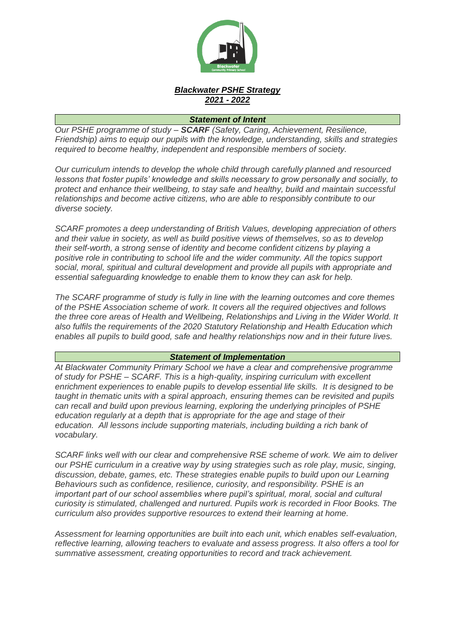

## *Blackwater PSHE Strategy 2021 - 2022*

## *Statement of Intent*

*Our PSHE programme of study – SCARF (Safety, Caring, Achievement, Resilience, Friendship) aims to equip our pupils with the knowledge, understanding, skills and strategies required to become healthy, independent and responsible members of society.*

*Our curriculum intends to develop the whole child through carefully planned and resourced lessons that foster pupils' knowledge and skills necessary to grow personally and socially, to protect and enhance their wellbeing, to stay safe and healthy, build and maintain successful relationships and become active citizens, who are able to responsibly contribute to our diverse society.*

*SCARF promotes a deep understanding of British Values, developing appreciation of others and their value in society, as well as build positive views of themselves, so as to develop their self-worth, a strong sense of identity and become confident citizens by playing a positive role in contributing to school life and the wider community. All the topics support social, moral, spiritual and cultural development and provide all pupils with appropriate and essential safeguarding knowledge to enable them to know they can ask for help.*

*The SCARF programme of study is fully in line with the learning outcomes and core themes of the PSHE Association scheme of work. It covers all the required objectives and follows the three core areas of Health and Wellbeing, Relationships and Living in the Wider World. It also fulfils the requirements of the 2020 Statutory Relationship and Health Education which enables all pupils to build good, safe and healthy relationships now and in their future lives.*

## *Statement of Implementation*

*At Blackwater Community Primary School we have a clear and comprehensive programme of study for PSHE – SCARF. This is a high-quality, inspiring curriculum with excellent enrichment experiences to enable pupils to develop essential life skills. It is designed to be taught in thematic units with a spiral approach, ensuring themes can be revisited and pupils can recall and build upon previous learning, exploring the underlying principles of PSHE education regularly at a depth that is appropriate for the age and stage of their education. All lessons include supporting materials, including building a rich bank of vocabulary.*

*SCARF links well with our clear and comprehensive RSE scheme of work. We aim to deliver our PSHE curriculum in a creative way by using strategies such as role play, music, singing, discussion, debate, games, etc. These strategies enable pupils to build upon our Learning Behaviours such as confidence, resilience, curiosity, and responsibility. PSHE is an important part of our school assemblies where pupil's spiritual, moral, social and cultural curiosity is stimulated, challenged and nurtured. Pupils work is recorded in Floor Books. The curriculum also provides supportive resources to extend their learning at home.*

*Assessment for learning opportunities are built into each unit, which enables self-evaluation, reflective learning, allowing teachers to evaluate and assess progress. It also offers a tool for summative assessment, creating opportunities to record and track achievement.*